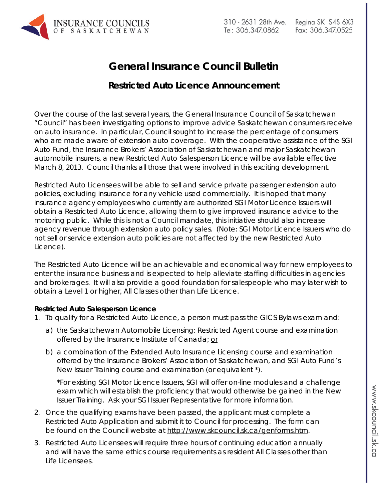

## **General Insurance Council Bulletin**

## **Restricted Auto Licence Announcement**

Over the course of the last several years, the General Insurance Council of Saskatchewan "Council" has been investigating options to improve advice Saskatchewan consumers receive on auto insurance. In particular, Council sought to increase the percentage of consumers who are made aware of extension auto coverage. With the cooperative assistance of the SGI Auto Fund, the Insurance Brokers' Association of Saskatchewan and major Saskatchewan automobile insurers, a new Restricted Auto Salesperson Licence will be available effective March 8, 2013. Council thanks all those that were involved in this exciting development.

Restricted Auto Licensees will be able to sell and service private passenger extension auto policies, excluding insurance for any vehicle used commercially. It is hoped that many insurance agency employees who currently are authorized SGI Motor Licence Issuers will obtain a Restricted Auto Licence, allowing them to give improved insurance advice to the motoring public. While this is not a Council mandate, this initiative should also increase agency revenue through extension auto policy sales. (*Note: SGI Motor Licence Issuers who do not sell or service extension auto policies are not affected by the new Restricted Auto Licence*).

The Restricted Auto Licence will be an achievable and economical way for new employees to enter the insurance business and is expected to help alleviate staffing difficulties in agencies and brokerages. It will also provide a good foundation for salespeople who may later wish to obtain a Level 1 or higher, All Classes other than Life Licence.

## **Restricted Auto Salesperson Licence**

- 1. To qualify for a Restricted Auto Licence, a person must pass the GICS Bylaws exam and:
	- a) the Saskatchewan Automobile Licensing: Restricted Agent course and examination offered by the Insurance Institute of Canada; or
	- b) a combination of the Extended Auto Insurance Licensing course and examination offered by the Insurance Brokers' Association of Saskatchewan, and SGI Auto Fund's New Issuer Training course and examination (or equivalent \*).

\*For existing SGI Motor Licence Issuers, SGI will offer on-line modules and a challenge exam which will establish the proficiency that would otherwise be gained in the New Issuer Training. Ask your SGI Issuer Representative for more information.

- 2. Once the qualifying exams have been passed, the applicant must complete a Restricted Auto Application and submit it to Council for processing. The form can be found on the Council website at [http://www.skcouncil.sk.ca/genforms.htm.](http://www.skcouncil.sk.ca/genforms.htm)
- 3. Restricted Auto Licensees will require three hours of continuing education annually and will have the same ethics course requirements as resident All Classes other than Life Licensees.